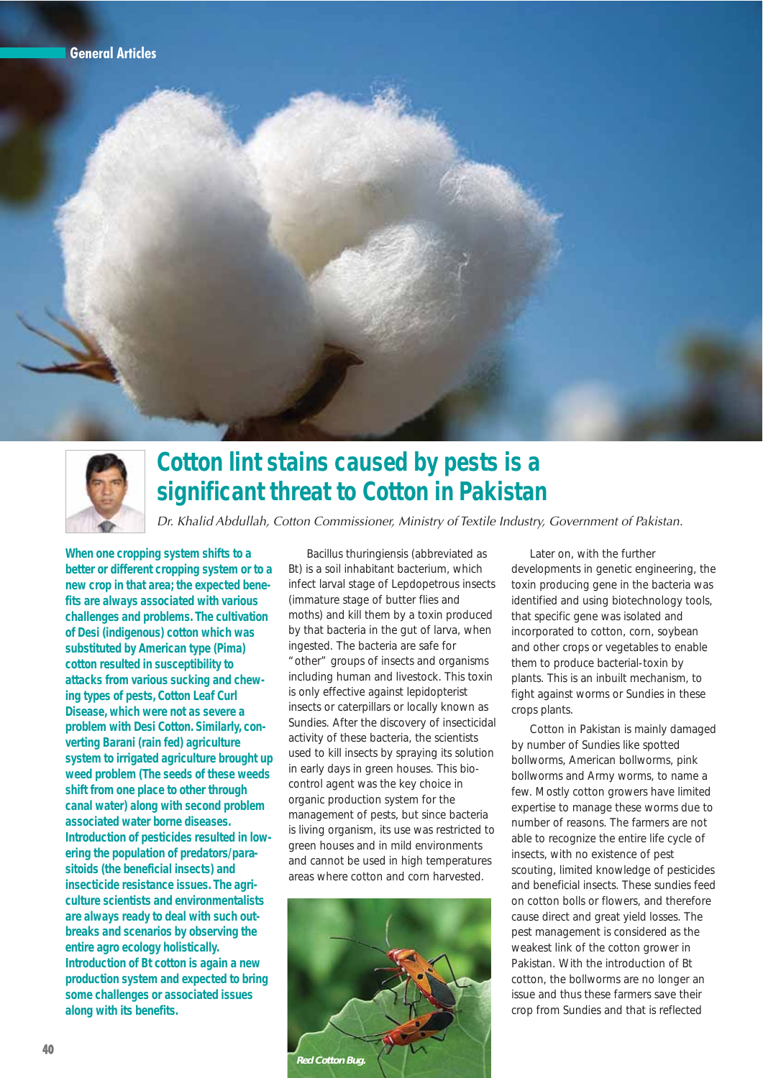



## **Cotton lint stains caused by pests is a significant threat to Cotton in Pakistan**

Dr. Khalid Abdullah, Cotton Commissioner, Ministry of Textile Industry, Government of Pakistan.

**When one cropping system shifts to a better or different cropping system or to a new crop in that area; the expected benefits are always associated with various challenges and problems. The cultivation of Desi (indigenous) cotton which was substituted by American type (Pima) cotton resulted in susceptibility to attacks from various sucking and chewing types of pests, Cotton Leaf Curl Disease, which were not as severe a problem with Desi Cotton. Similarly, converting Barani (rain fed) agriculture system to irrigated agriculture brought up weed problem (The seeds of these weeds shift from one place to other through canal water) along with second problem associated water borne diseases. Introduction of pesticides resulted in lowering the population of predators/parasitoids (the beneficial insects) and insecticide resistance issues. The agriculture scientists and environmentalists are always ready to deal with such outbreaks and scenarios by observing the entire agro ecology holistically. Introduction of Bt cotton is again a new production system and expected to bring some challenges or associated issues along with its benefits.**

Bacillus thuringiensis (abbreviated as Bt) is a soil inhabitant bacterium, which infect larval stage of Lepdopetrous insects (immature stage of butter flies and moths) and kill them by a toxin produced by that bacteria in the gut of larva, when ingested. The bacteria are safe for "other" groups of insects and organisms including human and livestock. This toxin is only effective against lepidopterist insects or caterpillars or locally known as Sundies. After the discovery of insecticidal activity of these bacteria, the scientists used to kill insects by spraying its solution in early days in green houses. This biocontrol agent was the key choice in organic production system for the management of pests, but since bacteria is living organism, its use was restricted to green houses and in mild environments and cannot be used in high temperatures areas where cotton and corn harvested.



Later on, with the further developments in genetic engineering, the toxin producing gene in the bacteria was identified and using biotechnology tools, that specific gene was isolated and incorporated to cotton, corn, soybean and other crops or vegetables to enable them to produce bacterial-toxin by plants. This is an inbuilt mechanism, to fight against worms or Sundies in these crops plants.

Cotton in Pakistan is mainly damaged by number of Sundies like spotted bollworms, American bollworms, pink bollworms and Army worms, to name a few. Mostly cotton growers have limited expertise to manage these worms due to number of reasons. The farmers are not able to recognize the entire life cycle of insects, with no existence of pest scouting, limited knowledge of pesticides and beneficial insects. These sundies feed on cotton bolls or flowers, and therefore cause direct and great yield losses. The pest management is considered as the weakest link of the cotton grower in Pakistan. With the introduction of Bt cotton, the bollworms are no longer an issue and thus these farmers save their crop from Sundies and that is reflected